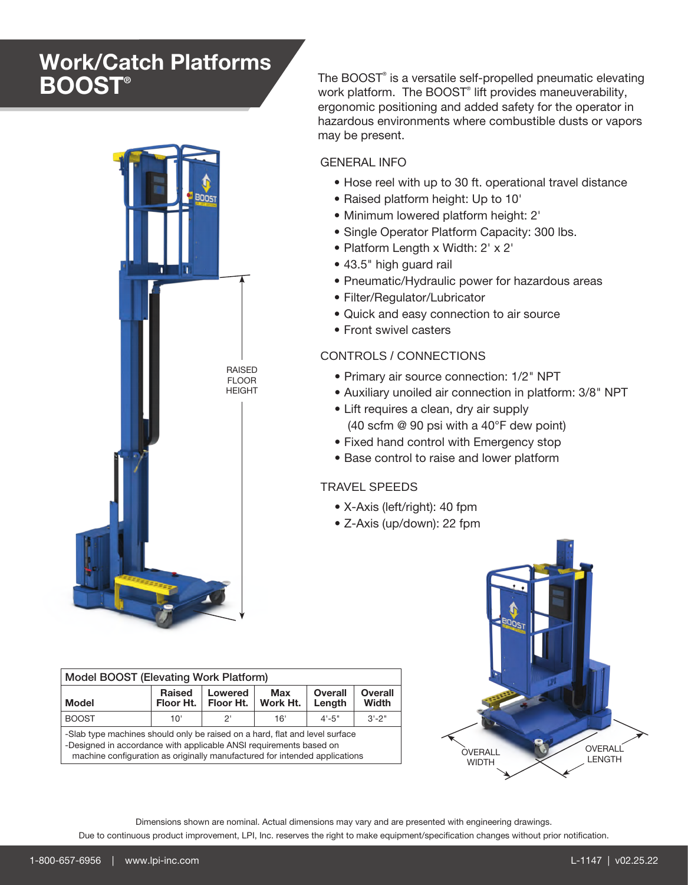# Work/Catch Platforms **BOOST®**



The BOOST® is a versatile self-propelled pneumatic elevating work platform. The BOOST<sup>®</sup> lift provides maneuverability, ergonomic positioning and added safety for the operator in hazardous environments where combustible dusts or vapors may be present.

## GENERAL INFO

- Hose reel with up to 30 ft. operational travel distance
- Raised platform height: Up to 10'
- Minimum lowered platform height: 2'
- Single Operator Platform Capacity: 300 lbs.
- Platform Length x Width: 2' x 2'
- 43.5" high guard rail
- Pneumatic/Hydraulic power for hazardous areas
- Filter/Regulator/Lubricator
- Quick and easy connection to air source
- Front swivel casters

# CONTROLS / CONNECTIONS

- Primary air source connection: 1/2" NPT
- Auxiliary unoiled air connection in platform: 3/8" NPT
- Lift requires a clean, dry air supply (40 scfm @ 90 psi with a 40°F dew point)
- Fixed hand control with Emergency stop
- Base control to raise and lower platform

# TRAVEL SPEEDS

- X-Axis (left/right): 40 fpm
- Z-Axis (up/down): 22 fpm



| <b>Model BOOST (Elevating Work Platform)</b>                                                                                                                                                                                    |                            |                      |                 |                          |                         |
|---------------------------------------------------------------------------------------------------------------------------------------------------------------------------------------------------------------------------------|----------------------------|----------------------|-----------------|--------------------------|-------------------------|
| Model                                                                                                                                                                                                                           | <b>Raised</b><br>Floor Ht. | Lowered<br>Floor Ht. | Max<br>Work Ht. | <b>Overall</b><br>Length | <b>Overall</b><br>Width |
| <b>BOOST</b>                                                                                                                                                                                                                    | 10'                        | יפ                   | 16'             | $4 - 5"$                 | $3' - 2''$              |
| -Slab type machines should only be raised on a hard, flat and level surface<br>-Designed in accordance with applicable ANSI requirements based on<br>machine configuration as originally manufactured for intended applications |                            |                      |                 |                          |                         |

Dimensions shown are nominal. Actual dimensions may vary and are presented with engineering drawings.

Due to continuous product improvement, LPI, Inc. reserves the right to make equipment/specification changes without prior notification.